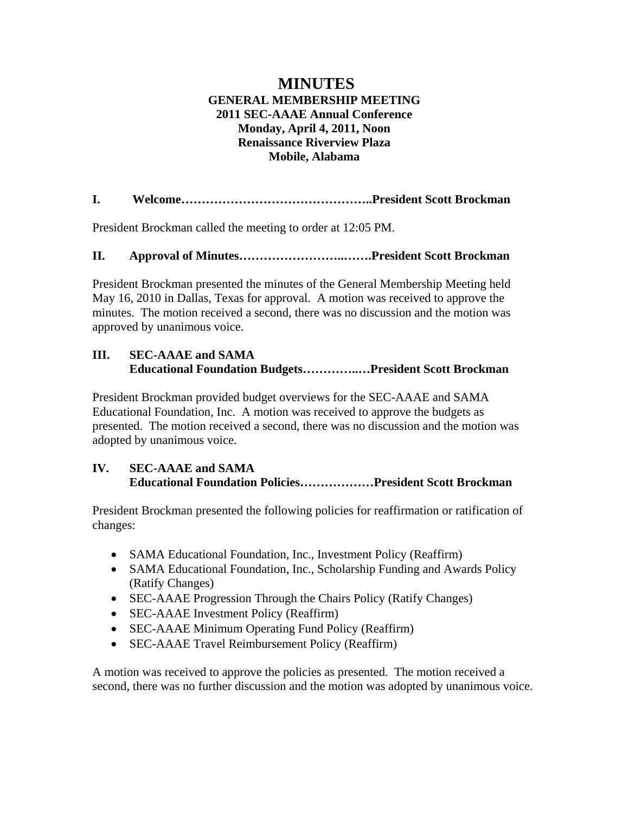# **MINUTES GENERAL MEMBERSHIP MEETING 2011 SEC-AAAE Annual Conference Monday, April 4, 2011, Noon Renaissance Riverview Plaza Mobile, Alabama**

**I. Welcome………………………………………..President Scott Brockman** 

President Brockman called the meeting to order at 12:05 PM.

## **II. Approval of Minutes……………………..…….President Scott Brockman**

President Brockman presented the minutes of the General Membership Meeting held May 16, 2010 in Dallas, Texas for approval. A motion was received to approve the minutes. The motion received a second, there was no discussion and the motion was approved by unanimous voice.

# **III. SEC-AAAE and SAMA Educational Foundation Budgets…………..…President Scott Brockman**

President Brockman provided budget overviews for the SEC-AAAE and SAMA Educational Foundation, Inc. A motion was received to approve the budgets as presented. The motion received a second, there was no discussion and the motion was adopted by unanimous voice.

## **IV. SEC-AAAE and SAMA Educational Foundation Policies………………President Scott Brockman**

President Brockman presented the following policies for reaffirmation or ratification of changes:

- SAMA Educational Foundation, Inc., Investment Policy (Reaffirm)
- SAMA Educational Foundation, Inc., Scholarship Funding and Awards Policy (Ratify Changes)
- SEC-AAAE Progression Through the Chairs Policy (Ratify Changes)
- SEC-AAAE Investment Policy (Reaffirm)
- SEC-AAAE Minimum Operating Fund Policy (Reaffirm)
- SEC-AAAE Travel Reimbursement Policy (Reaffirm)

A motion was received to approve the policies as presented. The motion received a second, there was no further discussion and the motion was adopted by unanimous voice.